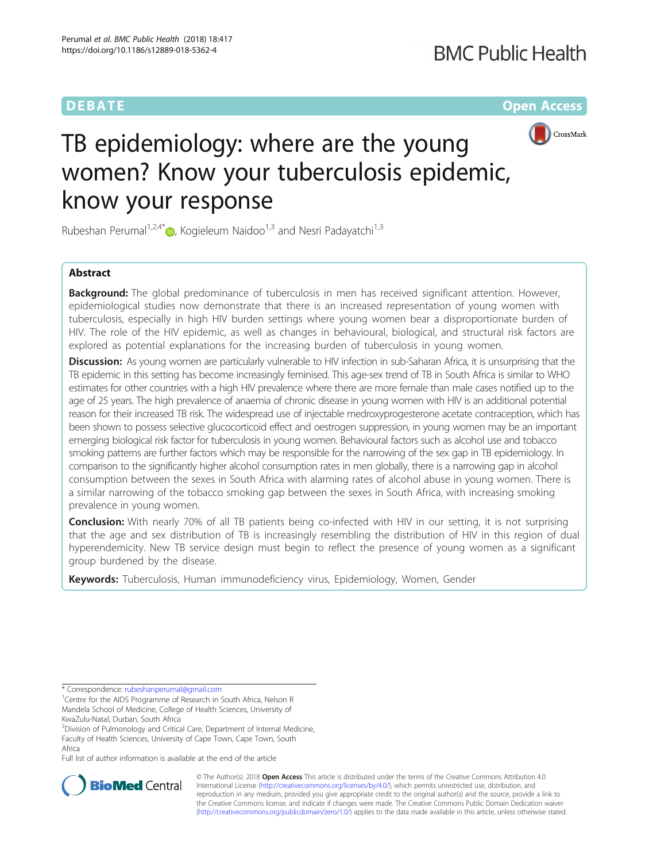**DEBATE CONSERVATION CONSERVATION** 



# TB epidemiology: where are the young women? Know your tuberculosis epidemic, know your response

Rubeshan Perumal<sup>1[,](http://orcid.org/0000-0001-8892-2904)2,4\*</sup> $\bullet$ , Kogieleum Naidoo<sup>1,3</sup> and Nesri Padayatchi<sup>1,3</sup>

### Abstract

**Background:** The global predominance of tuberculosis in men has received significant attention. However, epidemiological studies now demonstrate that there is an increased representation of young women with tuberculosis, especially in high HIV burden settings where young women bear a disproportionate burden of HIV. The role of the HIV epidemic, as well as changes in behavioural, biological, and structural risk factors are explored as potential explanations for the increasing burden of tuberculosis in young women.

Discussion: As young women are particularly vulnerable to HIV infection in sub-Saharan Africa, it is unsurprising that the TB epidemic in this setting has become increasingly feminised. This age-sex trend of TB in South Africa is similar to WHO estimates for other countries with a high HIV prevalence where there are more female than male cases notified up to the age of 25 years. The high prevalence of anaemia of chronic disease in young women with HIV is an additional potential reason for their increased TB risk. The widespread use of injectable medroxyprogesterone acetate contraception, which has been shown to possess selective glucocorticoid effect and oestrogen suppression, in young women may be an important emerging biological risk factor for tuberculosis in young women. Behavioural factors such as alcohol use and tobacco smoking patterns are further factors which may be responsible for the narrowing of the sex gap in TB epidemiology. In comparison to the significantly higher alcohol consumption rates in men globally, there is a narrowing gap in alcohol consumption between the sexes in South Africa with alarming rates of alcohol abuse in young women. There is a similar narrowing of the tobacco smoking gap between the sexes in South Africa, with increasing smoking prevalence in young women.

Conclusion: With nearly 70% of all TB patients being co-infected with HIV in our setting, it is not surprising that the age and sex distribution of TB is increasingly resembling the distribution of HIV in this region of dual hyperendemicity. New TB service design must begin to reflect the presence of young women as a significant group burdened by the disease.

Keywords: Tuberculosis, Human immunodeficiency virus, Epidemiology, Women, Gender

\* Correspondence: [rubeshanperumal@gmail.com](mailto:rubeshanperumal@gmail.com) <sup>1</sup>

<sup>1</sup> Centre for the AIDS Programme of Research in South Africa, Nelson R Mandela School of Medicine, College of Health Sciences, University of KwaZulu-Natal, Durban, South Africa

<sup>2</sup>Division of Pulmonology and Critical Care, Department of Internal Medicine, Faculty of Health Sciences, University of Cape Town, Cape Town, South Africa

Full list of author information is available at the end of the article



© The Author(s). 2018 Open Access This article is distributed under the terms of the Creative Commons Attribution 4.0 International License [\(http://creativecommons.org/licenses/by/4.0/](http://creativecommons.org/licenses/by/4.0/)), which permits unrestricted use, distribution, and reproduction in any medium, provided you give appropriate credit to the original author(s) and the source, provide a link to the Creative Commons license, and indicate if changes were made. The Creative Commons Public Domain Dedication waiver [\(http://creativecommons.org/publicdomain/zero/1.0/](http://creativecommons.org/publicdomain/zero/1.0/)) applies to the data made available in this article, unless otherwise stated.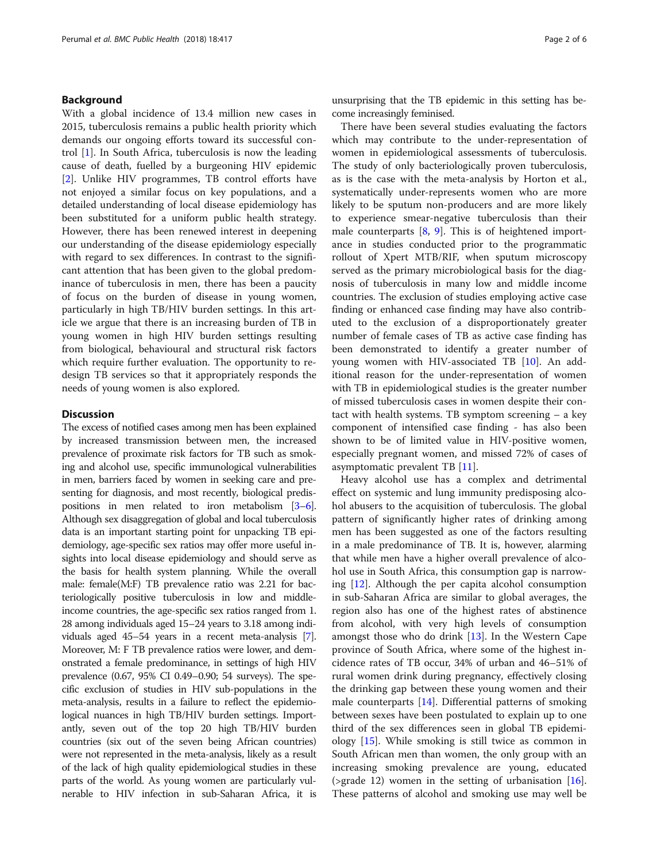#### Background

With a global incidence of 13.4 million new cases in 2015, tuberculosis remains a public health priority which demands our ongoing efforts toward its successful control [[1\]](#page-4-0). In South Africa, tuberculosis is now the leading cause of death, fuelled by a burgeoning HIV epidemic [[2\]](#page-4-0). Unlike HIV programmes, TB control efforts have not enjoyed a similar focus on key populations, and a detailed understanding of local disease epidemiology has been substituted for a uniform public health strategy. However, there has been renewed interest in deepening our understanding of the disease epidemiology especially with regard to sex differences. In contrast to the significant attention that has been given to the global predominance of tuberculosis in men, there has been a paucity of focus on the burden of disease in young women, particularly in high TB/HIV burden settings. In this article we argue that there is an increasing burden of TB in young women in high HIV burden settings resulting from biological, behavioural and structural risk factors which require further evaluation. The opportunity to redesign TB services so that it appropriately responds the needs of young women is also explored.

#### **Discussion**

The excess of notified cases among men has been explained by increased transmission between men, the increased prevalence of proximate risk factors for TB such as smoking and alcohol use, specific immunological vulnerabilities in men, barriers faced by women in seeking care and presenting for diagnosis, and most recently, biological predispositions in men related to iron metabolism [\[3](#page-4-0)–[6](#page-4-0)]. Although sex disaggregation of global and local tuberculosis data is an important starting point for unpacking TB epidemiology, age-specific sex ratios may offer more useful insights into local disease epidemiology and should serve as the basis for health system planning. While the overall male: female(M:F) TB prevalence ratio was 2.21 for bacteriologically positive tuberculosis in low and middleincome countries, the age-specific sex ratios ranged from 1. 28 among individuals aged 15–24 years to 3.18 among individuals aged 45–54 years in a recent meta-analysis [[7](#page-4-0)]. Moreover, M: F TB prevalence ratios were lower, and demonstrated a female predominance, in settings of high HIV prevalence (0.67, 95% CI 0.49–0.90; 54 surveys). The specific exclusion of studies in HIV sub-populations in the meta-analysis, results in a failure to reflect the epidemiological nuances in high TB/HIV burden settings. Importantly, seven out of the top 20 high TB/HIV burden countries (six out of the seven being African countries) were not represented in the meta-analysis, likely as a result of the lack of high quality epidemiological studies in these parts of the world. As young women are particularly vulnerable to HIV infection in sub-Saharan Africa, it is unsurprising that the TB epidemic in this setting has become increasingly feminised.

There have been several studies evaluating the factors which may contribute to the under-representation of women in epidemiological assessments of tuberculosis. The study of only bacteriologically proven tuberculosis, as is the case with the meta-analysis by Horton et al., systematically under-represents women who are more likely to be sputum non-producers and are more likely to experience smear-negative tuberculosis than their male counterparts [[8,](#page-4-0) [9\]](#page-4-0). This is of heightened importance in studies conducted prior to the programmatic rollout of Xpert MTB/RIF, when sputum microscopy served as the primary microbiological basis for the diagnosis of tuberculosis in many low and middle income countries. The exclusion of studies employing active case finding or enhanced case finding may have also contributed to the exclusion of a disproportionately greater number of female cases of TB as active case finding has been demonstrated to identify a greater number of young women with HIV-associated TB [[10\]](#page-4-0). An additional reason for the under-representation of women with TB in epidemiological studies is the greater number of missed tuberculosis cases in women despite their contact with health systems. TB symptom screening – a key component of intensified case finding - has also been shown to be of limited value in HIV-positive women, especially pregnant women, and missed 72% of cases of asymptomatic prevalent TB [[11\]](#page-4-0).

Heavy alcohol use has a complex and detrimental effect on systemic and lung immunity predisposing alcohol abusers to the acquisition of tuberculosis. The global pattern of significantly higher rates of drinking among men has been suggested as one of the factors resulting in a male predominance of TB. It is, however, alarming that while men have a higher overall prevalence of alcohol use in South Africa, this consumption gap is narrowing [\[12\]](#page-4-0). Although the per capita alcohol consumption in sub-Saharan Africa are similar to global averages, the region also has one of the highest rates of abstinence from alcohol, with very high levels of consumption amongst those who do drink [[13\]](#page-4-0). In the Western Cape province of South Africa, where some of the highest incidence rates of TB occur, 34% of urban and 46–51% of rural women drink during pregnancy, effectively closing the drinking gap between these young women and their male counterparts [[14\]](#page-4-0). Differential patterns of smoking between sexes have been postulated to explain up to one third of the sex differences seen in global TB epidemiology [\[15\]](#page-4-0). While smoking is still twice as common in South African men than women, the only group with an increasing smoking prevalence are young, educated (>grade 12) women in the setting of urbanisation  $[16]$  $[16]$ . These patterns of alcohol and smoking use may well be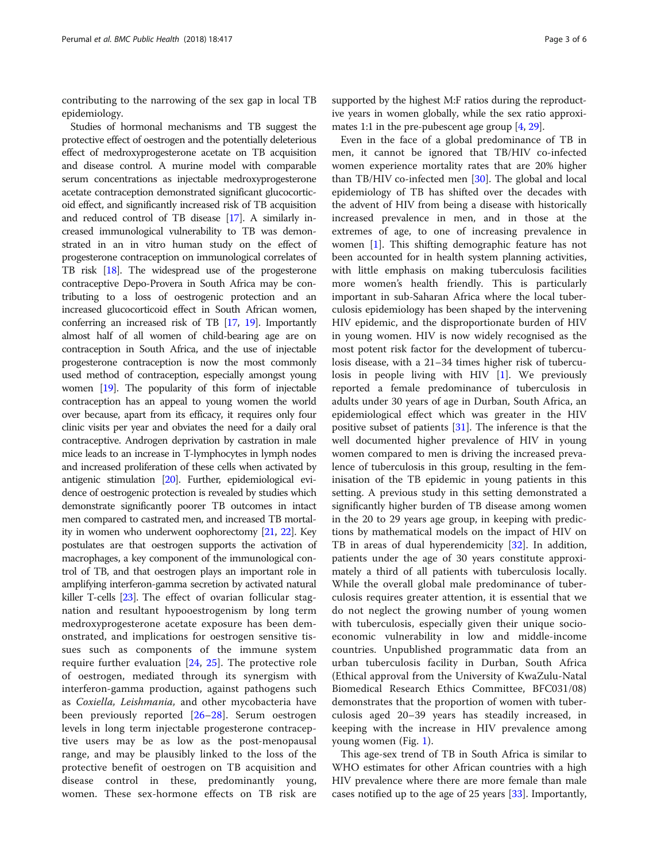contributing to the narrowing of the sex gap in local TB epidemiology.

Studies of hormonal mechanisms and TB suggest the protective effect of oestrogen and the potentially deleterious effect of medroxyprogesterone acetate on TB acquisition and disease control. A murine model with comparable serum concentrations as injectable medroxyprogesterone acetate contraception demonstrated significant glucocorticoid effect, and significantly increased risk of TB acquisition and reduced control of TB disease [\[17\]](#page-4-0). A similarly increased immunological vulnerability to TB was demonstrated in an in vitro human study on the effect of progesterone contraception on immunological correlates of TB risk [[18](#page-4-0)]. The widespread use of the progesterone contraceptive Depo-Provera in South Africa may be contributing to a loss of oestrogenic protection and an increased glucocorticoid effect in South African women, conferring an increased risk of TB [[17,](#page-4-0) [19](#page-4-0)]. Importantly almost half of all women of child-bearing age are on contraception in South Africa, and the use of injectable progesterone contraception is now the most commonly used method of contraception, especially amongst young women [[19\]](#page-4-0). The popularity of this form of injectable contraception has an appeal to young women the world over because, apart from its efficacy, it requires only four clinic visits per year and obviates the need for a daily oral contraceptive. Androgen deprivation by castration in male mice leads to an increase in T-lymphocytes in lymph nodes and increased proliferation of these cells when activated by antigenic stimulation [\[20\]](#page-4-0). Further, epidemiological evidence of oestrogenic protection is revealed by studies which demonstrate significantly poorer TB outcomes in intact men compared to castrated men, and increased TB mortality in women who underwent oophorectomy [[21](#page-4-0), [22](#page-4-0)]. Key postulates are that oestrogen supports the activation of macrophages, a key component of the immunological control of TB, and that oestrogen plays an important role in amplifying interferon-gamma secretion by activated natural killer T-cells [[23](#page-4-0)]. The effect of ovarian follicular stagnation and resultant hypooestrogenism by long term medroxyprogesterone acetate exposure has been demonstrated, and implications for oestrogen sensitive tissues such as components of the immune system require further evaluation [\[24](#page-4-0), [25](#page-4-0)]. The protective role of oestrogen, mediated through its synergism with interferon-gamma production, against pathogens such as Coxiella, Leishmania, and other mycobacteria have been previously reported [[26](#page-4-0)–[28](#page-4-0)]. Serum oestrogen levels in long term injectable progesterone contraceptive users may be as low as the post-menopausal range, and may be plausibly linked to the loss of the protective benefit of oestrogen on TB acquisition and disease control in these, predominantly young, women. These sex-hormone effects on TB risk are

supported by the highest M:F ratios during the reproductive years in women globally, while the sex ratio approximates 1:1 in the pre-pubescent age group [[4](#page-4-0), [29\]](#page-4-0).

Even in the face of a global predominance of TB in men, it cannot be ignored that TB/HIV co-infected women experience mortality rates that are 20% higher than TB/HIV co-infected men [[30\]](#page-4-0). The global and local epidemiology of TB has shifted over the decades with the advent of HIV from being a disease with historically increased prevalence in men, and in those at the extremes of age, to one of increasing prevalence in women [[1\]](#page-4-0). This shifting demographic feature has not been accounted for in health system planning activities, with little emphasis on making tuberculosis facilities more women's health friendly. This is particularly important in sub-Saharan Africa where the local tuberculosis epidemiology has been shaped by the intervening HIV epidemic, and the disproportionate burden of HIV in young women. HIV is now widely recognised as the most potent risk factor for the development of tuberculosis disease, with a 21–34 times higher risk of tuberculosis in people living with HIV  $[1]$  $[1]$ . We previously reported a female predominance of tuberculosis in adults under 30 years of age in Durban, South Africa, an epidemiological effect which was greater in the HIV positive subset of patients [\[31\]](#page-5-0). The inference is that the well documented higher prevalence of HIV in young women compared to men is driving the increased prevalence of tuberculosis in this group, resulting in the feminisation of the TB epidemic in young patients in this setting. A previous study in this setting demonstrated a significantly higher burden of TB disease among women in the 20 to 29 years age group, in keeping with predictions by mathematical models on the impact of HIV on TB in areas of dual hyperendemicity [[32\]](#page-5-0). In addition, patients under the age of 30 years constitute approximately a third of all patients with tuberculosis locally. While the overall global male predominance of tuberculosis requires greater attention, it is essential that we do not neglect the growing number of young women with tuberculosis, especially given their unique socioeconomic vulnerability in low and middle-income countries. Unpublished programmatic data from an urban tuberculosis facility in Durban, South Africa (Ethical approval from the University of KwaZulu-Natal Biomedical Research Ethics Committee, BFC031/08) demonstrates that the proportion of women with tuberculosis aged 20–39 years has steadily increased, in keeping with the increase in HIV prevalence among young women (Fig. [1](#page-3-0)).

This age-sex trend of TB in South Africa is similar to WHO estimates for other African countries with a high HIV prevalence where there are more female than male cases notified up to the age of 25 years [[33\]](#page-5-0). Importantly,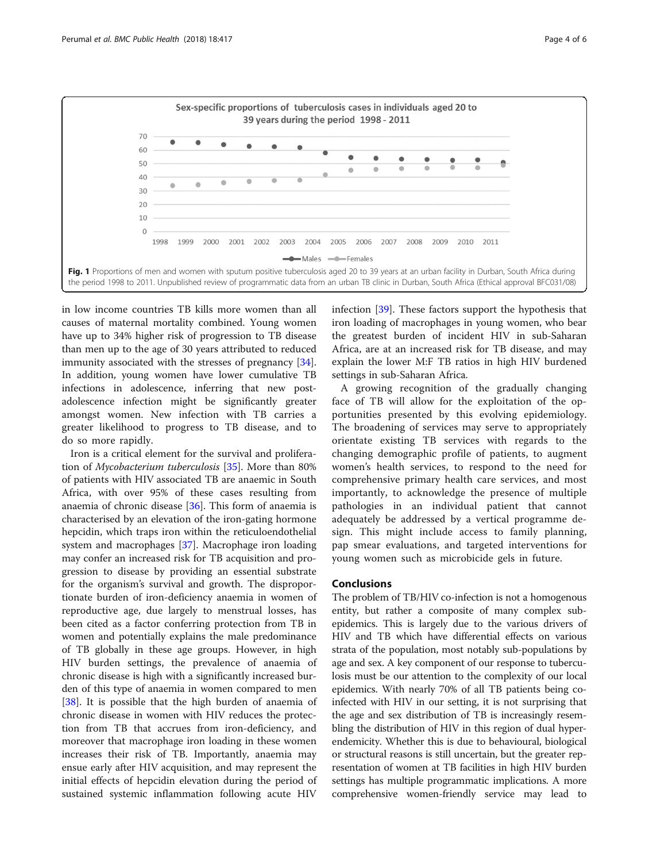<span id="page-3-0"></span>

in low income countries TB kills more women than all causes of maternal mortality combined. Young women have up to 34% higher risk of progression to TB disease than men up to the age of 30 years attributed to reduced immunity associated with the stresses of pregnancy [\[34](#page-5-0)]. In addition, young women have lower cumulative TB infections in adolescence, inferring that new postadolescence infection might be significantly greater amongst women. New infection with TB carries a greater likelihood to progress to TB disease, and to do so more rapidly.

Iron is a critical element for the survival and proliferation of Mycobacterium tuberculosis [\[35\]](#page-5-0). More than 80% of patients with HIV associated TB are anaemic in South Africa, with over 95% of these cases resulting from anaemia of chronic disease [[36\]](#page-5-0). This form of anaemia is characterised by an elevation of the iron-gating hormone hepcidin, which traps iron within the reticuloendothelial system and macrophages [\[37\]](#page-5-0). Macrophage iron loading may confer an increased risk for TB acquisition and progression to disease by providing an essential substrate for the organism's survival and growth. The disproportionate burden of iron-deficiency anaemia in women of reproductive age, due largely to menstrual losses, has been cited as a factor conferring protection from TB in women and potentially explains the male predominance of TB globally in these age groups. However, in high HIV burden settings, the prevalence of anaemia of chronic disease is high with a significantly increased burden of this type of anaemia in women compared to men [[38\]](#page-5-0). It is possible that the high burden of anaemia of chronic disease in women with HIV reduces the protection from TB that accrues from iron-deficiency, and moreover that macrophage iron loading in these women increases their risk of TB. Importantly, anaemia may ensue early after HIV acquisition, and may represent the initial effects of hepcidin elevation during the period of sustained systemic inflammation following acute HIV

infection [\[39](#page-5-0)]. These factors support the hypothesis that iron loading of macrophages in young women, who bear the greatest burden of incident HIV in sub-Saharan Africa, are at an increased risk for TB disease, and may explain the lower M:F TB ratios in high HIV burdened settings in sub-Saharan Africa.

A growing recognition of the gradually changing face of TB will allow for the exploitation of the opportunities presented by this evolving epidemiology. The broadening of services may serve to appropriately orientate existing TB services with regards to the changing demographic profile of patients, to augment women's health services, to respond to the need for comprehensive primary health care services, and most importantly, to acknowledge the presence of multiple pathologies in an individual patient that cannot adequately be addressed by a vertical programme design. This might include access to family planning, pap smear evaluations, and targeted interventions for young women such as microbicide gels in future.

#### Conclusions

The problem of TB/HIV co-infection is not a homogenous entity, but rather a composite of many complex subepidemics. This is largely due to the various drivers of HIV and TB which have differential effects on various strata of the population, most notably sub-populations by age and sex. A key component of our response to tuberculosis must be our attention to the complexity of our local epidemics. With nearly 70% of all TB patients being coinfected with HIV in our setting, it is not surprising that the age and sex distribution of TB is increasingly resembling the distribution of HIV in this region of dual hyperendemicity. Whether this is due to behavioural, biological or structural reasons is still uncertain, but the greater representation of women at TB facilities in high HIV burden settings has multiple programmatic implications. A more comprehensive women-friendly service may lead to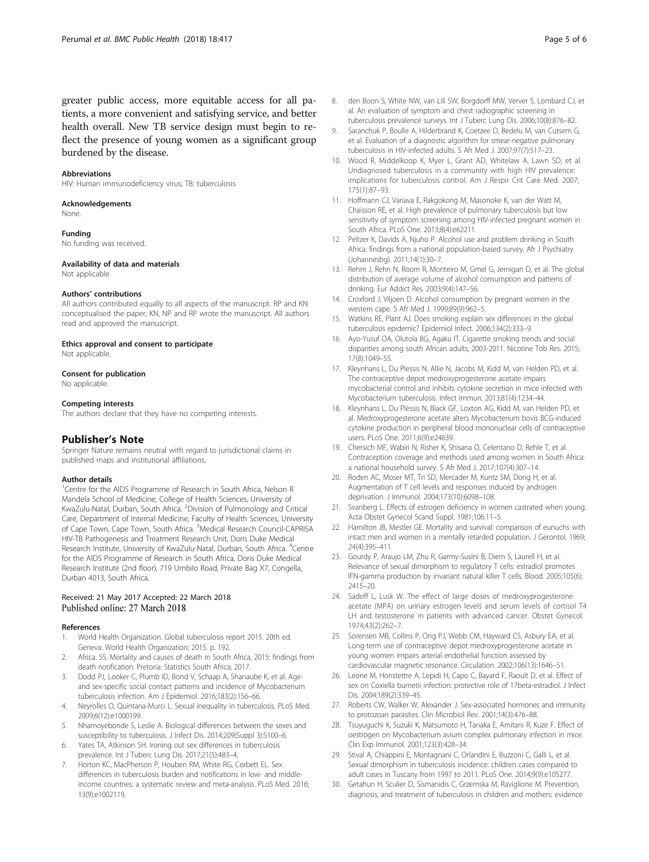<span id="page-4-0"></span>greater public access, more equitable access for all patients, a more convenient and satisfying service, and better health overall. New TB service design must begin to reflect the presence of young women as a significant group burdened by the disease.

#### Abbreviations

HIV: Human immunodeficiency virus; TB: tuberculosis

#### Acknowledgements

None.

#### Funding

No funding was received.

#### Availability of data and materials

Not applicable

#### Authors' contributions

All authors contributed equally to all aspects of the manuscript. RP and KN conceptualised the paper; KN, NP and RP wrote the manuscript. All authors read and approved the manuscript.

#### Ethics approval and consent to participate

Not applicable.

#### Consent for publication

No applicable.

#### Competing interests

The authors declare that they have no competing interests.

#### Publisher's Note

Springer Nature remains neutral with regard to jurisdictional claims in published maps and institutional affiliations.

#### Author details

<sup>1</sup>Centre for the AIDS Programme of Research in South Africa, Nelson R Mandela School of Medicine, College of Health Sciences, University of KwaZulu-Natal, Durban, South Africa. <sup>2</sup>Division of Pulmonology and Critical Care, Department of Internal Medicine, Faculty of Health Sciences, University of Cape Town, Cape Town, South Africa. <sup>3</sup>Medical Research Council-CAPRISA HIV-TB Pathogenesis and Treatment Research Unit, Doris Duke Medical Research Institute, University of KwaZulu-Natal, Durban, South Africa. <sup>4</sup>Centre for the AIDS Programme of Research in South Africa, Doris Duke Medical Research Institute (2nd floor), 719 Umbilo Road, Private Bag X7, Congella, Durban 4013, South Africa.

## Received: 21 May 2017 Accepted: 22 March 2018<br>Published online: 27 March 2018

#### References

- 1. World Health Organization. Global tuberculosis report 2015. 20th ed. Geneva: World Health Organization; 2015. p. 192.
- 2. Africa. SS. Mortality and causes of death in South Africa, 2015: findings from death notification. Pretoria: Statistics South Africa; 2017.
- 3. Dodd PJ, Looker C, Plumb ID, Bond V, Schaap A, Shanaube K, et al. Ageand sex-specific social contact patterns and incidence of Mycobacterium tuberculosis infection. Am J Epidemiol. 2016;183(2):156–66.
- 4. Neyrolles O, Quintana-Murci L. Sexual inequality in tuberculosis. PLoS Med. 2009;6(12):e1000199.
- 5. Nhamoyebonde S, Leslie A. Biological differences between the sexes and susceptibility to tuberculosis. J Infect Dis. 2014;209(Suppl 3):S100–6.
- 6. Yates TA, Atkinson SH. Ironing out sex differences in tuberculosis prevalence. Int J Tuberc Lung Dis. 2017;21(5):483–4.
- 7. Horton KC, MacPherson P, Houben RM, White RG, Corbett EL. Sex differences in tuberculosis burden and notifications in low- and middleincome countries: a systematic review and meta-analysis. PLoS Med. 2016; 13(9):e1002119.
- 8. den Boon S, White NW, van Lill SW, Borgdorff MW, Verver S, Lombard CJ, et al. An evaluation of symptom and chest radiographic screening in tuberculosis prevalence surveys. Int J Tuberc Lung Dis. 2006;10(8):876–82.
- 9. Saranchuk P, Boulle A, Hilderbrand K, Coetzee D, Bedelu M, van Cutsem G, et al. Evaluation of a diagnostic algorithm for smear-negative pulmonary tuberculosis in HIV-infected adults. S Afr Med J. 2007;97(7):517–23.
- 10. Wood R, Middelkoop K, Myer L, Grant AD, Whitelaw A, Lawn SD, et al. Undiagnosed tuberculosis in a community with high HIV prevalence: implications for tuberculosis control. Am J Respir Crit Care Med. 2007; 175(1):87–93.
- 11. Hoffmann CJ, Variava E, Rakgokong M, Masonoke K, van der Watt M, Chaisson RE, et al. High prevalence of pulmonary tuberculosis but low sensitivity of symptom screening among HIV-infected pregnant women in South Africa. PLoS One. 2013;8(4):e62211.
- 12. Peltzer K, Davids A, Njuho P. Alcohol use and problem drinking in South Africa: findings from a national population-based survey. Afr J Psychiatry (Johannesbg). 2011;14(1):30–7.
- 13. Rehm J, Rehn N, Room R, Monteiro M, Gmel G, Jernigan D, et al. The global distribution of average volume of alcohol consumption and patterns of drinking. Eur Addict Res. 2003;9(4):147–56.
- 14. Croxford J, Viljoen D. Alcohol consumption by pregnant women in the western cape. S Afr Med J. 1999;89(9):962–5.
- 15. Watkins RE, Plant AJ. Does smoking explain sex differences in the global tuberculosis epidemic? Epidemiol Infect. 2006;134(2):333–9.
- 16. Ayo-Yusuf OA, Olutola BG, Agaku IT. Cigarette smoking trends and social disparities among south African adults, 2003-2011. Nicotine Tob Res. 2015; 17(8):1049–55.
- 17. Kleynhans L, Du Plessis N, Allie N, Jacobs M, Kidd M, van Helden PD, et al. The contraceptive depot medroxyprogesterone acetate impairs mycobacterial control and inhibits cytokine secretion in mice infected with Mycobacterium tuberculosis. Infect Immun. 2013;81(4):1234–44.
- 18. Kleynhans L, Du Plessis N, Black GF, Loxton AG, Kidd M, van Helden PD, et al. Medroxyprogesterone acetate alters Mycobacterium bovis BCG-induced cytokine production in peripheral blood mononuclear cells of contraceptive users. PLoS One. 2011;6(9):e24639.
- 19. Chersich MF, Wabiri N, Risher K, Shisana O, Celentano D, Rehle T, et al. Contraception coverage and methods used among women in South Africa: a national household survey. S Afr Med J. 2017;107(4):307–14.
- 20. Roden AC, Moser MT, Tri SD, Mercader M, Kuntz SM, Dong H, et al. Augmentation of T cell levels and responses induced by androgen deprivation. J Immunol. 2004;173(10):6098–108.
- 21. Svanberg L. Effects of estrogen deficiency in women castrated when young. Acta Obstet Gynecol Scand Suppl. 1981;106:11–5.
- 22. Hamilton JB, Mestler GE. Mortality and survival: comparison of eunuchs with intact men and women in a mentally retarded population. J Gerontol. 1969; 24(4):395–411.
- 23. Gourdy P, Araujo LM, Zhu R, Garmy-Susini B, Diem S, Laurell H, et al. Relevance of sexual dimorphism to regulatory T cells: estradiol promotes IFN-gamma production by invariant natural killer T cells. Blood. 2005;105(6): 2415–20.
- 24. Sadoff L, Lusk W. The effect of large doses of medroxyprogesterone acetate (MPA) on urinary estrogen levels and serum levels of cortisol T4 LH and testosterone in patients with advanced cancer. Obstet Gynecol. 1974;43(2):262–7.
- 25. Sorensen MB, Collins P, Ong PJ, Webb CM, Hayward CS, Asbury EA, et al. Long-term use of contraceptive depot medroxyprogesterone acetate in young women impairs arterial endothelial function assessed by cardiovascular magnetic resonance. Circulation. 2002;106(13):1646–51.
- 26. Leone M, Honstettre A, Lepidi H, Capo C, Bayard F, Raoult D, et al. Effect of sex on Coxiella burnetii infection: protective role of 17beta-estradiol. J Infect Dis. 2004;189(2):339–45.
- 27. Roberts CW, Walker W, Alexander J. Sex-associated hormones and immunity to protozoan parasites. Clin Microbiol Rev. 2001;14(3):476–88.
- 28. Tsuyuguchi K, Suzuki K, Matsumoto H, Tanaka E, Amitani R, Kuze F. Effect of oestrogen on Mycobacterium avium complex pulmonary infection in mice. Clin Exp Immunol. 2001;123(3):428–34.
- 29. Stival A, Chiappini E, Montagnani C, Orlandini E, Buzzoni C, Galli L, et al. Sexual dimorphism in tuberculosis incidence: children cases compared to adult cases in Tuscany from 1997 to 2011. PLoS One. 2014;9(9):e105277.
- 30. Getahun H, Sculier D, Sismanidis C, Grzemska M, Raviglione M. Prevention, diagnosis, and treatment of tuberculosis in children and mothers: evidence